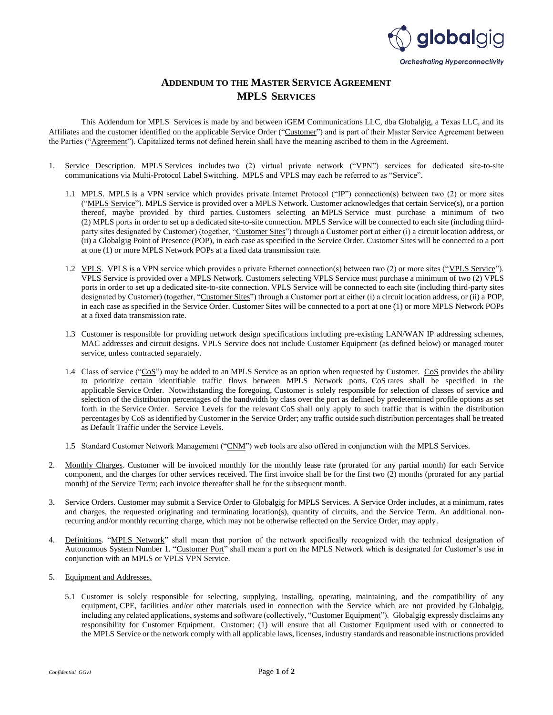

## **ADDENDUM TO THE MASTER SERVICE AGREEMENT MPLS SERVICES**

This Addendum for MPLS Services is made by and between iGEM Communications LLC, dba Globalgig, a Texas LLC, and its Affiliates and the customer identified on the applicable Service Order ("Customer") and is part of their Master Service Agreement between the Parties ("Agreement"). Capitalized terms not defined herein shall have the meaning ascribed to them in the Agreement.

- 1. Service Description. MPLS Services includes two (2) virtual private network ("VPN") services for dedicated site-to-site communications via Multi-Protocol Label Switching. MPLS and VPLS may each be referred to as "Service".
	- 1.1 MPLS. MPLS is a VPN service which provides private Internet Protocol ("IP") connection(s) between two (2) or more sites ("MPLS Service"). MPLS Service is provided over a MPLS Network. Customer acknowledges that certain Service(s), or a portion thereof, maybe provided by third parties. Customers selecting an MPLS Service must purchase a minimum of two (2) MPLS ports in order to set up a dedicated site-to-site connection. MPLS Service will be connected to each site (including thirdparty sites designated by Customer) (together, "Customer Sites") through a Customer port at either (i) a circuit location address, or (ii) a Globalgig Point of Presence (POP), in each case as specified in the Service Order. Customer Sites will be connected to a port at one (1) or more MPLS Network POPs at a fixed data transmission rate.
	- 1.2 VPLS. VPLS is a VPN service which provides a private Ethernet connection(s) between two (2) or more sites ("VPLS Service"). VPLS Service is provided over a MPLS Network. Customers selecting VPLS Service must purchase a minimum of two (2) VPLS ports in order to set up a dedicated site-to-site connection. VPLS Service will be connected to each site (including third-party sites designated by Customer) (together, "Customer Sites") through a Customer port at either (i) a circuit location address, or (ii) a POP, in each case as specified in the Service Order. Customer Sites will be connected to a port at one (1) or more MPLS Network POPs at a fixed data transmission rate.
	- 1.3 Customer is responsible for providing network design specifications including pre-existing LAN/WAN IP addressing schemes, MAC addresses and circuit designs. VPLS Service does not include Customer Equipment (as defined below) or managed router service, unless contracted separately.
	- 1.4 Class of service ("CoS") may be added to an MPLS Service as an option when requested by Customer. CoS provides the ability to prioritize certain identifiable traffic flows between MPLS Network ports. CoS rates shall be specified in the applicable Service Order. Notwithstanding the foregoing, Customer is solely responsible for selection of classes of service and selection of the distribution percentages of the bandwidth by class over the port as defined by predetermined profile options as set forth in the Service Order. Service Levels for the relevant CoS shall only apply to such traffic that is within the distribution percentages by CoS as identified by Customer in the Service Order; any traffic outside such distribution percentages shall be treated as Default Traffic under the Service Levels.
	- 1.5 Standard Customer Network Management ("CNM") web tools are also offered in conjunction with the MPLS Services.
- 2. Monthly Charges. Customer will be invoiced monthly for the monthly lease rate (prorated for any partial month) for each Service component, and the charges for other services received. The first invoice shall be for the first two (2) months (prorated for any partial month) of the Service Term; each invoice thereafter shall be for the subsequent month.
- 3. Service Orders. Customer may submit a Service Order to Globalgig for MPLS Services. A Service Order includes, at a minimum, rates and charges, the requested originating and terminating location(s), quantity of circuits, and the Service Term. An additional nonrecurring and/or monthly recurring charge, which may not be otherwise reflected on the Service Order, may apply.
- 4. Definitions. "MPLS Network" shall mean that portion of the network specifically recognized with the technical designation of Autonomous System Number 1. "Customer Port" shall mean a port on the MPLS Network which is designated for Customer's use in conjunction with an MPLS or VPLS VPN Service.
- 5. Equipment and Addresses.
	- 5.1 Customer is solely responsible for selecting, supplying, installing, operating, maintaining, and the compatibility of any equipment, CPE, facilities and/or other materials used in connection with the Service which are not provided by Globalgig, including any related applications, systems and software (collectively, "Customer Equipment"). Globalgig expressly disclaims any responsibility for Customer Equipment. Customer: (1) will ensure that all Customer Equipment used with or connected to the MPLS Service or the network comply with all applicable laws, licenses, industry standards and reasonable instructions provided